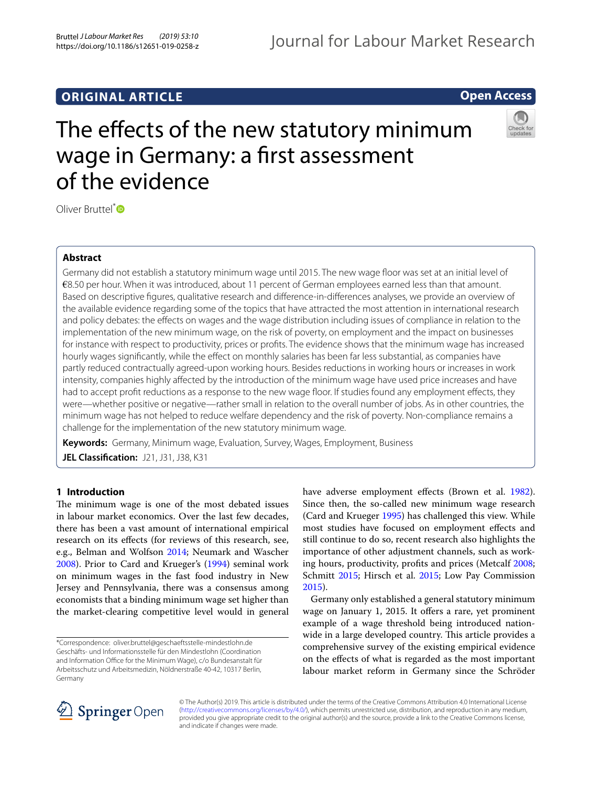# **ORIGINAL ARTICLE**

# **Open Access**

# The effects of the new statutory minimum wage in Germany: a frst assessment of the evidence



Oliver Bruttel<sup>[\\*](http://orcid.org/0000-0002-2939-5208)</sup>

# **Abstract**

Germany did not establish a statutory minimum wage until 2015. The new wage foor was set at an initial level of €8.50 per hour. When it was introduced, about 11 percent of German employees earned less than that amount. Based on descriptive fgures, qualitative research and diference-in-diferences analyses, we provide an overview of the available evidence regarding some of the topics that have attracted the most attention in international research and policy debates: the efects on wages and the wage distribution including issues of compliance in relation to the implementation of the new minimum wage, on the risk of poverty, on employment and the impact on businesses for instance with respect to productivity, prices or profts. The evidence shows that the minimum wage has increased hourly wages signifcantly, while the efect on monthly salaries has been far less substantial, as companies have partly reduced contractually agreed-upon working hours. Besides reductions in working hours or increases in work intensity, companies highly afected by the introduction of the minimum wage have used price increases and have had to accept profit reductions as a response to the new wage floor. If studies found any employment effects, they were—whether positive or negative—rather small in relation to the overall number of jobs. As in other countries, the minimum wage has not helped to reduce welfare dependency and the risk of poverty. Non-compliance remains a challenge for the implementation of the new statutory minimum wage.

**Keywords:** Germany, Minimum wage, Evaluation, Survey, Wages, Employment, Business

**JEL Classifcation:** J21, J31, J38, K31

# **1 Introduction**

The minimum wage is one of the most debated issues in labour market economics. Over the last few decades, there has been a vast amount of international empirical research on its efects (for reviews of this research, see, e.g., Belman and Wolfson [2014;](#page-11-0) Neumark and Wascher [2008](#page-12-0)). Prior to Card and Krueger's ([1994](#page-11-1)) seminal work on minimum wages in the fast food industry in New Jersey and Pennsylvania, there was a consensus among economists that a binding minimum wage set higher than the market-clearing competitive level would in general

have adverse employment effects (Brown et al. [1982](#page-11-2)). Since then, the so-called new minimum wage research (Card and Krueger [1995](#page-11-3)) has challenged this view. While most studies have focused on employment efects and still continue to do so, recent research also highlights the importance of other adjustment channels, such as working hours, productivity, profts and prices (Metcalf [2008](#page-12-1); Schmitt [2015](#page-12-2); Hirsch et al. [2015](#page-12-3); Low Pay Commission [2015](#page-12-4)).

Germany only established a general statutory minimum wage on January 1, 2015. It offers a rare, yet prominent example of a wage threshold being introduced nationwide in a large developed country. This article provides a comprehensive survey of the existing empirical evidence on the efects of what is regarded as the most important labour market reform in Germany since the Schröder



© The Author(s) 2019. This article is distributed under the terms of the Creative Commons Attribution 4.0 International License [\(http://creativecommons.org/licenses/by/4.0/\)](http://creativecommons.org/licenses/by/4.0/), which permits unrestricted use, distribution, and reproduction in any medium, provided you give appropriate credit to the original author(s) and the source, provide a link to the Creative Commons license, and indicate if changes were made.

<sup>\*</sup>Correspondence: oliver.bruttel@geschaeftsstelle-mindestlohn.de Geschäfts- und Informationsstelle für den Mindestlohn (Coordination and Information Office for the Minimum Wage), c/o Bundesanstalt für Arbeitsschutz und Arbeitsmedizin, Nöldnerstraße 40-42, 10317 Berlin, Germany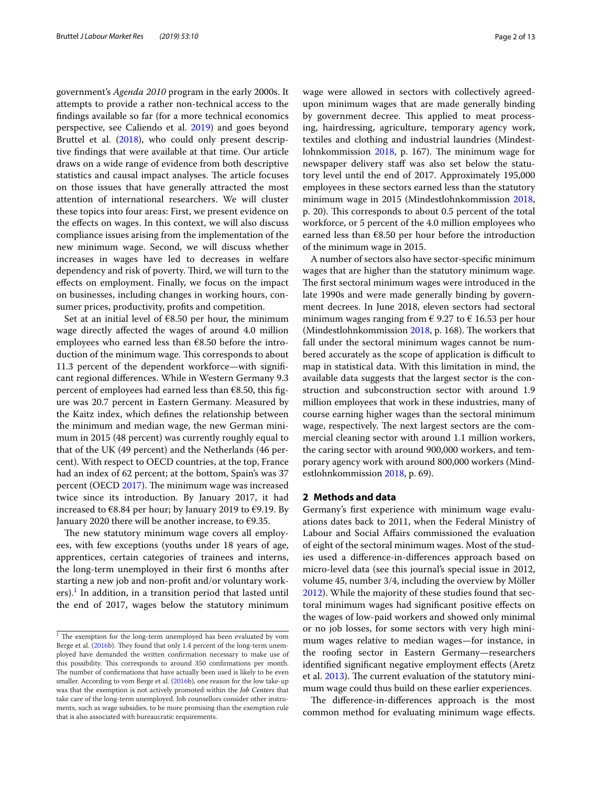government's *Agenda 2010* program in the early 2000s. It attempts to provide a rather non-technical access to the fndings available so far (for a more technical economics perspective, see Caliendo et al. [2019\)](#page-11-4) and goes beyond Bruttel et al. ([2018](#page-11-5)), who could only present descriptive fndings that were available at that time. Our article draws on a wide range of evidence from both descriptive statistics and causal impact analyses. The article focuses on those issues that have generally attracted the most attention of international researchers. We will cluster these topics into four areas: First, we present evidence on the efects on wages. In this context, we will also discuss compliance issues arising from the implementation of the new minimum wage. Second, we will discuss whether increases in wages have led to decreases in welfare dependency and risk of poverty. Third, we will turn to the efects on employment. Finally, we focus on the impact on businesses, including changes in working hours, consumer prices, productivity, profts and competition.

Set at an initial level of  $68.50$  per hour, the minimum wage directly afected the wages of around 4.0 million employees who earned less than  $€8.50$  before the introduction of the minimum wage. This corresponds to about 11.3 percent of the dependent workforce—with signifcant regional diferences. While in Western Germany 9.3 percent of employees had earned less than  $€8.50$ , this figure was 20.7 percent in Eastern Germany. Measured by the Kaitz index, which defnes the relationship between the minimum and median wage, the new German minimum in 2015 (48 percent) was currently roughly equal to that of the UK (49 percent) and the Netherlands (46 percent). With respect to OECD countries, at the top, France had an index of 62 percent; at the bottom, Spain's was 37 percent (OECD [2017](#page-12-5)). The minimum wage was increased twice since its introduction. By January 2017, it had increased to €8.84 per hour; by January 2019 to €9.19. By January 2020 there will be another increase, to  $\epsilon$ 9.35.

The new statutory minimum wage covers all employees, with few exceptions (youths under 18 years of age, apprentices, certain categories of trainees and interns, the long-term unemployed in their frst 6 months after starting a new job and non-proft and/or voluntary workers).<sup>1</sup> In addition, in a transition period that lasted until the end of 2017, wages below the statutory minimum

wage were allowed in sectors with collectively agreedupon minimum wages that are made generally binding by government decree. This applied to meat processing, hairdressing, agriculture, temporary agency work, textiles and clothing and industrial laundries (Mindestlohnkommission  $2018$ , p. 167). The minimum wage for newspaper delivery staff was also set below the statutory level until the end of 2017. Approximately 195,000 employees in these sectors earned less than the statutory minimum wage in 2015 (Mindestlohnkommission [2018](#page-12-6), p. 20). This corresponds to about 0.5 percent of the total workforce, or 5 percent of the 4.0 million employees who earned less than  $68.50$  per hour before the introduction of the minimum wage in 2015.

A number of sectors also have sector-specifc minimum wages that are higher than the statutory minimum wage. The first sectoral minimum wages were introduced in the late 1990s and were made generally binding by government decrees. In June 2018, eleven sectors had sectoral minimum wages ranging from  $\epsilon$  9.27 to  $\epsilon$  16.53 per hour (Mindestlohnkommission [2018,](#page-12-6) p. 168). The workers that fall under the sectoral minimum wages cannot be numbered accurately as the scope of application is difficult to map in statistical data. With this limitation in mind, the available data suggests that the largest sector is the construction and subconstruction sector with around 1.9 million employees that work in these industries, many of course earning higher wages than the sectoral minimum wage, respectively. The next largest sectors are the commercial cleaning sector with around 1.1 million workers, the caring sector with around 900,000 workers, and temporary agency work with around 800,000 workers (Mindestlohnkommission [2018,](#page-12-6) p. 69).

### **2 Methods and data**

Germany's frst experience with minimum wage evaluations dates back to 2011, when the Federal Ministry of Labour and Social Afairs commissioned the evaluation of eight of the sectoral minimum wages. Most of the studies used a diference-in-diferences approach based on micro-level data (see this journal's special issue in 2012, volume 45, number 3/4, including the overview by Möller [2012](#page-12-7)). While the majority of these studies found that sectoral minimum wages had signifcant positive efects on the wages of low-paid workers and showed only minimal or no job losses, for some sectors with very high minimum wages relative to median wages—for instance, in the roofng sector in Eastern Germany—researchers identified significant negative employment effects (Aretz et al. [2013](#page-11-6)). The current evaluation of the statutory minimum wage could thus build on these earlier experiences.

The difference-in-differences approach is the most common method for evaluating minimum wage efects.

<span id="page-1-0"></span> $1$  The exemption for the long-term unemployed has been evaluated by vom Berge et al. [\(2016b](#page-12-8)). They found that only 1.4 percent of the long-term unemployed have demanded the written confrmation necessary to make use of this possibility. This corresponds to around 350 confirmations per month. The number of confirmations that have actually been used is likely to be even smaller. According to vom Berge et al. ([2016b](#page-12-8)), one reason for the low take-up was that the exemption is not actively promoted within the *Job Centers* that take care of the long-term unemployed. Job counsellors consider other instruments, such as wage subsidies, to be more promising than the exemption rule that is also associated with bureaucratic requirements.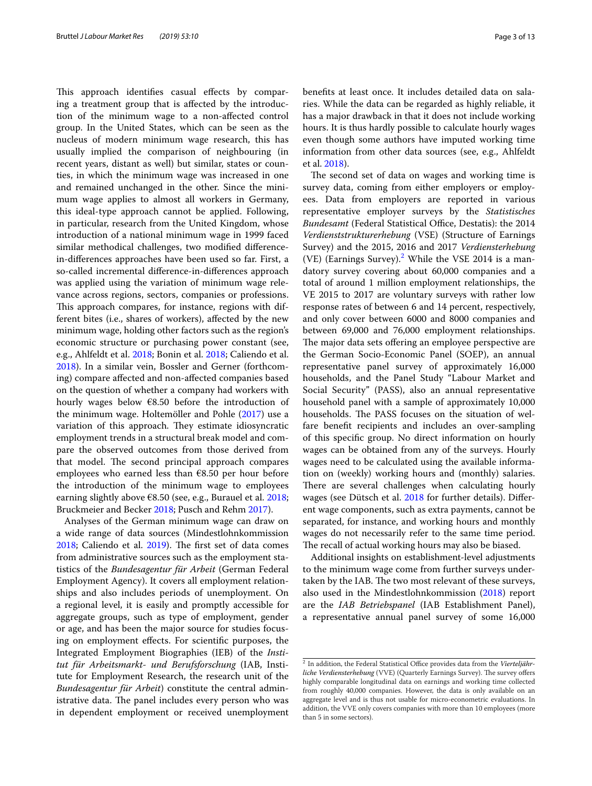This approach identifies casual effects by comparing a treatment group that is afected by the introduction of the minimum wage to a non-afected control group. In the United States, which can be seen as the nucleus of modern minimum wage research, this has usually implied the comparison of neighbouring (in recent years, distant as well) but similar, states or counties, in which the minimum wage was increased in one and remained unchanged in the other. Since the minimum wage applies to almost all workers in Germany, this ideal-type approach cannot be applied. Following, in particular, research from the United Kingdom, whose introduction of a national minimum wage in 1999 faced similar methodical challenges, two modifed diferencein-diferences approaches have been used so far. First, a so-called incremental diference-in-diferences approach was applied using the variation of minimum wage relevance across regions, sectors, companies or professions. This approach compares, for instance, regions with different bites (i.e., shares of workers), afected by the new minimum wage, holding other factors such as the region's economic structure or purchasing power constant (see, e.g., Ahlfeldt et al. [2018;](#page-11-7) Bonin et al. [2018;](#page-11-8) Caliendo et al. [2018](#page-11-9)). In a similar vein, Bossler and Gerner (forthcoming) compare afected and non-afected companies based on the question of whether a company had workers with hourly wages below  $\epsilon$ 8.50 before the introduction of the minimum wage. Holtemöller and Pohle [\(2017\)](#page-12-9) use a variation of this approach. They estimate idiosyncratic employment trends in a structural break model and compare the observed outcomes from those derived from that model. The second principal approach compares employees who earned less than  $€8.50$  per hour before the introduction of the minimum wage to employees earning slightly above €8.50 (see, e.g., Burauel et al. [2018](#page-11-10); Bruckmeier and Becker [2018;](#page-11-11) Pusch and Rehm [2017\)](#page-12-10).

Analyses of the German minimum wage can draw on a wide range of data sources (Mindestlohnkommission [2018](#page-12-6); Caliendo et al. [2019](#page-11-4)). The first set of data comes from administrative sources such as the employment statistics of the *Bundesagentur für Arbeit* (German Federal Employment Agency). It covers all employment relationships and also includes periods of unemployment. On a regional level, it is easily and promptly accessible for aggregate groups, such as type of employment, gender or age, and has been the major source for studies focusing on employment efects. For scientifc purposes, the Integrated Employment Biographies (IEB) of the *Institut für Arbeitsmarkt- und Berufsforschung* (IAB, Institute for Employment Research, the research unit of the *Bundesagentur für Arbeit*) constitute the central administrative data. The panel includes every person who was in dependent employment or received unemployment benefts at least once. It includes detailed data on salaries. While the data can be regarded as highly reliable, it has a major drawback in that it does not include working hours. It is thus hardly possible to calculate hourly wages even though some authors have imputed working time information from other data sources (see, e.g., Ahlfeldt et al. [2018](#page-11-7)).

The second set of data on wages and working time is survey data, coming from either employers or employees. Data from employers are reported in various representative employer surveys by the *Statistisches Bundesamt* (Federal Statistical Office, Destatis): the 2014 *Verdienststrukturerhebung* (VSE) (Structure of Earnings Survey) and the 2015, 2016 and 2017 *Verdiensterhebung* (VE) (Earnings Survey). $^2$  $^2$  While the VSE 2014 is a mandatory survey covering about 60,000 companies and a total of around 1 million employment relationships, the VE 2015 to 2017 are voluntary surveys with rather low response rates of between 6 and 14 percent, respectively, and only cover between 6000 and 8000 companies and between 69,000 and 76,000 employment relationships. The major data sets offering an employee perspective are the German Socio-Economic Panel (SOEP), an annual representative panel survey of approximately 16,000 households, and the Panel Study "Labour Market and Social Security" (PASS), also an annual representative household panel with a sample of approximately 10,000 households. The PASS focuses on the situation of welfare beneft recipients and includes an over-sampling of this specifc group. No direct information on hourly wages can be obtained from any of the surveys. Hourly wages need to be calculated using the available information on (weekly) working hours and (monthly) salaries. There are several challenges when calculating hourly wages (see Dütsch et al. [2018](#page-12-11) for further details). Diferent wage components, such as extra payments, cannot be separated, for instance, and working hours and monthly wages do not necessarily refer to the same time period. The recall of actual working hours may also be biased.

Additional insights on establishment-level adjustments to the minimum wage come from further surveys undertaken by the IAB. The two most relevant of these surveys, also used in the Mindestlohnkommission ([2018\)](#page-12-6) report are the *IAB Betriebspanel* (IAB Establishment Panel), a representative annual panel survey of some 16,000

<span id="page-2-0"></span><sup>&</sup>lt;sup>2</sup> In addition, the Federal Statistical Office provides data from the Vierteljähr*liche Verdiensterhebung* (VVE) (Quarterly Earnings Survey). The survey offers highly comparable longitudinal data on earnings and working time collected from roughly 40,000 companies. However, the data is only available on an aggregate level and is thus not usable for micro-econometric evaluations. In addition, the VVE only covers companies with more than 10 employees (more than 5 in some sectors).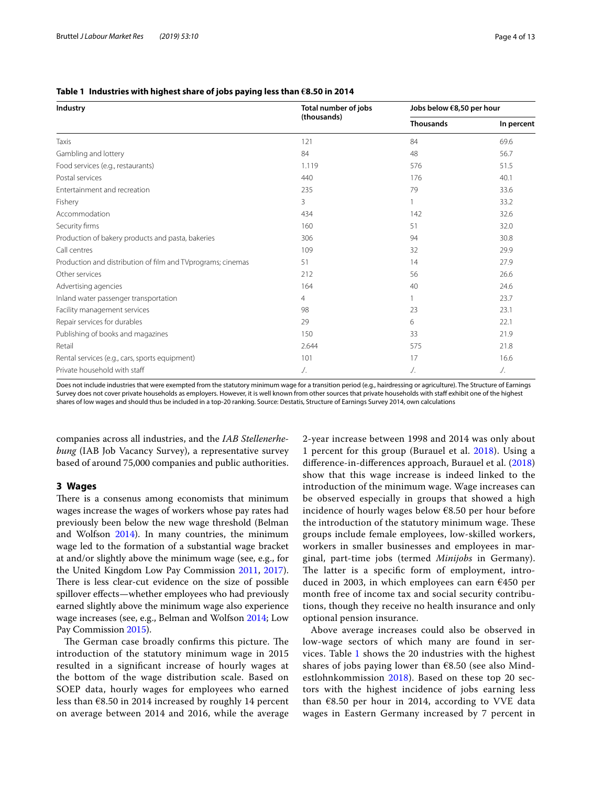#### <span id="page-3-0"></span>**Table 1 Industries with highest share of jobs paying less than €8.50 in 2014**

| Industry                                                     | Total number of jobs | Jobs below €8,50 per hour |              |
|--------------------------------------------------------------|----------------------|---------------------------|--------------|
|                                                              | (thousands)          | <b>Thousands</b>          | In percent   |
| Taxis                                                        | 121                  | 84                        | 69.6         |
| Gambling and lottery                                         | 84                   | 48                        | 56.7         |
| Food services (e.g., restaurants)                            | 1.119                | 576                       | 51.5         |
| Postal services                                              | 440                  | 176                       | 40.1         |
| Entertainment and recreation                                 | 235                  | 79                        | 33.6         |
| Fishery                                                      | 3                    |                           | 33.2         |
| Accommodation                                                | 434                  | 142                       | 32.6         |
| Security firms                                               | 160                  | 51                        | 32.0         |
| Production of bakery products and pasta, bakeries            | 306                  | 94                        | 30.8         |
| Call centres                                                 | 109                  | 32                        | 29.9         |
| Production and distribution of film and TV programs; cinemas | 51                   | 14                        | 27.9         |
| Other services                                               | 212                  | 56                        | 26.6         |
| Advertising agencies                                         | 164                  | 40                        | 24.6         |
| Inland water passenger transportation                        | 4                    |                           | 23.7         |
| Facility management services                                 | 98                   | 23                        | 23.1         |
| Repair services for durables                                 | 29                   | 6                         | 22.1         |
| Publishing of books and magazines                            | 150                  | 33                        | 21.9         |
| Retail                                                       | 2.644                | 575                       | 21.8         |
| Rental services (e.g., cars, sports equipment)               | 101                  | 17                        | 16.6         |
| Private household with staff                                 | $\sqrt{ }$ .         | $\Lambda$ .               | $\sqrt{ }$ . |

Does not include industries that were exempted from the statutory minimum wage for a transition period (e.g., hairdressing or agriculture). The Structure of Earnings Survey does not cover private households as employers. However, it is well known from other sources that private households with staf exhibit one of the highest shares of low wages and should thus be included in a top-20 ranking. Source: Destatis, Structure of Earnings Survey 2014, own calculations

companies across all industries, and the *IAB Stellenerhebung* (IAB Job Vacancy Survey), a representative survey based of around 75,000 companies and public authorities.

### **3 Wages**

There is a consenus among economists that minimum wages increase the wages of workers whose pay rates had previously been below the new wage threshold (Belman and Wolfson [2014\)](#page-11-0). In many countries, the minimum wage led to the formation of a substantial wage bracket at and/or slightly above the minimum wage (see, e.g., for the United Kingdom Low Pay Commission [2011,](#page-12-12) [2017](#page-12-13)). There is less clear-cut evidence on the size of possible spillover efects—whether employees who had previously earned slightly above the minimum wage also experience wage increases (see, e.g., Belman and Wolfson [2014](#page-11-0); Low Pay Commission [2015](#page-12-4)).

The German case broadly confirms this picture. The introduction of the statutory minimum wage in 2015 resulted in a signifcant increase of hourly wages at the bottom of the wage distribution scale. Based on SOEP data, hourly wages for employees who earned less than  $\epsilon$ 8.50 in 2014 increased by roughly 14 percent on average between 2014 and 2016, while the average 2-year increase between 1998 and 2014 was only about 1 percent for this group (Burauel et al. [2018\)](#page-11-10). Using a diference-in-diferences approach, Burauel et al. [\(2018](#page-11-10)) show that this wage increase is indeed linked to the introduction of the minimum wage. Wage increases can be observed especially in groups that showed a high incidence of hourly wages below €8.50 per hour before the introduction of the statutory minimum wage. These groups include female employees, low-skilled workers, workers in smaller businesses and employees in marginal, part-time jobs (termed *Minijobs* in Germany). The latter is a specific form of employment, introduced in 2003, in which employees can earn €450 per month free of income tax and social security contributions, though they receive no health insurance and only optional pension insurance.

Above average increases could also be observed in low-wage sectors of which many are found in services. Table [1](#page-3-0) shows the 20 industries with the highest shares of jobs paying lower than €8.50 (see also Mind-estlohnkommission [2018](#page-12-6)). Based on these top 20 sectors with the highest incidence of jobs earning less than  $€8.50$  per hour in 2014, according to VVE data wages in Eastern Germany increased by 7 percent in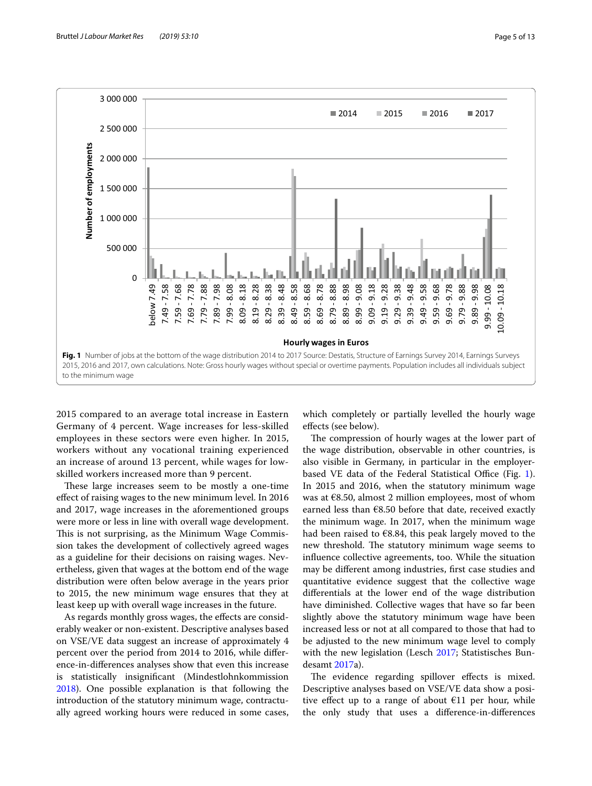

<span id="page-4-0"></span>2015 compared to an average total increase in Eastern Germany of 4 percent. Wage increases for less-skilled employees in these sectors were even higher. In 2015, workers without any vocational training experienced an increase of around 13 percent, while wages for lowskilled workers increased more than 9 percent.

These large increases seem to be mostly a one-time efect of raising wages to the new minimum level. In 2016 and 2017, wage increases in the aforementioned groups were more or less in line with overall wage development. This is not surprising, as the Minimum Wage Commission takes the development of collectively agreed wages as a guideline for their decisions on raising wages. Nevertheless, given that wages at the bottom end of the wage distribution were often below average in the years prior to 2015, the new minimum wage ensures that they at least keep up with overall wage increases in the future.

As regards monthly gross wages, the effects are considerably weaker or non-existent. Descriptive analyses based on VSE/VE data suggest an increase of approximately 4 percent over the period from 2014 to 2016, while diference-in-diferences analyses show that even this increase is statistically insignifcant (Mindestlohnkommission [2018](#page-12-6)). One possible explanation is that following the introduction of the statutory minimum wage, contractually agreed working hours were reduced in some cases, which completely or partially levelled the hourly wage efects (see below).

The compression of hourly wages at the lower part of the wage distribution, observable in other countries, is also visible in Germany, in particular in the employer-based VE data of the Federal Statistical Office (Fig. [1](#page-4-0)). In 2015 and 2016, when the statutory minimum wage was at €8.50, almost 2 million employees, most of whom earned less than €8.50 before that date, received exactly the minimum wage. In 2017, when the minimum wage had been raised to  $68.84$ , this peak largely moved to the new threshold. The statutory minimum wage seems to infuence collective agreements, too. While the situation may be diferent among industries, frst case studies and quantitative evidence suggest that the collective wage diferentials at the lower end of the wage distribution have diminished. Collective wages that have so far been slightly above the statutory minimum wage have been increased less or not at all compared to those that had to be adjusted to the new minimum wage level to comply with the new legislation (Lesch [2017;](#page-12-14) Statistisches Bundesamt [2017](#page-12-15)a).

The evidence regarding spillover effects is mixed. Descriptive analyses based on VSE/VE data show a positive effect up to a range of about  $E11$  per hour, while the only study that uses a diference-in-diferences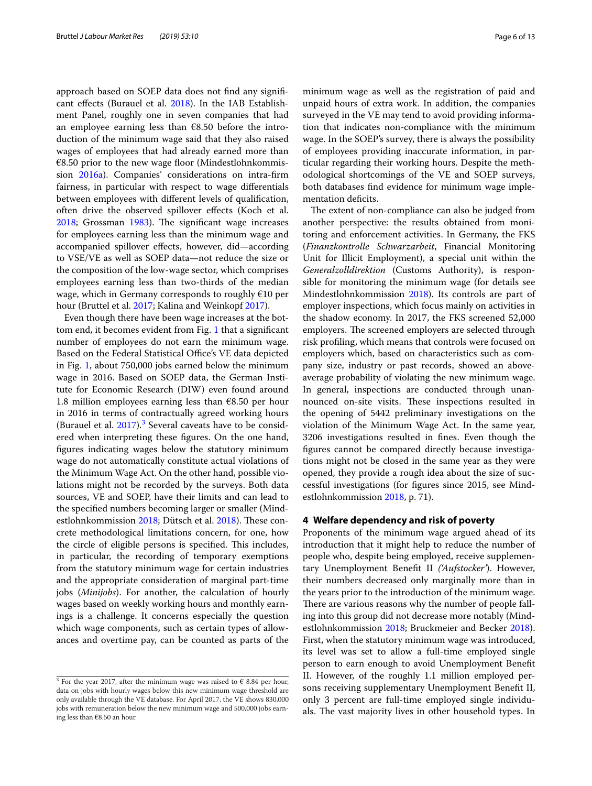approach based on SOEP data does not fnd any signif-cant effects (Burauel et al. [2018](#page-11-10)). In the IAB Establishment Panel, roughly one in seven companies that had an employee earning less than  $E$ 8.50 before the introduction of the minimum wage said that they also raised wages of employees that had already earned more than  $€8.50$  prior to the new wage floor (Mindestlohnkommission [2016a\)](#page-12-16). Companies' considerations on intra-frm fairness, in particular with respect to wage diferentials between employees with diferent levels of qualifcation, often drive the observed spillover efects (Koch et al. [2018](#page-12-17); Grossman [1983\)](#page-12-18). The significant wage increases for employees earning less than the minimum wage and accompanied spillover efects, however, did—according to VSE/VE as well as SOEP data—not reduce the size or the composition of the low-wage sector, which comprises employees earning less than two-thirds of the median wage, which in Germany corresponds to roughly €10 per hour (Bruttel et al. [2017;](#page-11-12) Kalina and Weinkopf [2017](#page-12-19)).

Even though there have been wage increases at the bottom end, it becomes evident from Fig. [1](#page-4-0) that a signifcant number of employees do not earn the minimum wage. Based on the Federal Statistical Office's VE data depicted in Fig. [1](#page-4-0), about 750,000 jobs earned below the minimum wage in 2016. Based on SOEP data, the German Institute for Economic Research (DIW) even found around 1.8 million employees earning less than  $€8.50$  per hour in 2016 in terms of contractually agreed working hours (Burauel et al.  $2017$ ).<sup>[3](#page-5-0)</sup> Several caveats have to be considered when interpreting these fgures. On the one hand, fgures indicating wages below the statutory minimum wage do not automatically constitute actual violations of the Minimum Wage Act. On the other hand, possible violations might not be recorded by the surveys. Both data sources, VE and SOEP, have their limits and can lead to the specifed numbers becoming larger or smaller (Mind-estlohnkommission [2018;](#page-12-6) Dütsch et al. [2018\)](#page-12-11). These concrete methodological limitations concern, for one, how the circle of eligible persons is specified. This includes, in particular, the recording of temporary exemptions from the statutory minimum wage for certain industries and the appropriate consideration of marginal part-time jobs (*Minijobs*). For another, the calculation of hourly wages based on weekly working hours and monthly earnings is a challenge. It concerns especially the question which wage components, such as certain types of allowances and overtime pay, can be counted as parts of the minimum wage as well as the registration of paid and unpaid hours of extra work. In addition, the companies surveyed in the VE may tend to avoid providing information that indicates non-compliance with the minimum wage. In the SOEP's survey, there is always the possibility of employees providing inaccurate information, in particular regarding their working hours. Despite the methodological shortcomings of the VE and SOEP surveys, both databases fnd evidence for minimum wage implementation deficits.

The extent of non-compliance can also be judged from another perspective: the results obtained from monitoring and enforcement activities. In Germany, the FKS (*Finanzkontrolle Schwarzarbeit*, Financial Monitoring Unit for Illicit Employment), a special unit within the *Generalzolldirektion* (Customs Authority), is responsible for monitoring the minimum wage (for details see Mindestlohnkommission [2018](#page-12-6)). Its controls are part of employer inspections, which focus mainly on activities in the shadow economy. In 2017, the FKS screened 52,000 employers. The screened employers are selected through risk profling, which means that controls were focused on employers which, based on characteristics such as company size, industry or past records, showed an aboveaverage probability of violating the new minimum wage. In general, inspections are conducted through unannounced on-site visits. These inspections resulted in the opening of 5442 preliminary investigations on the violation of the Minimum Wage Act. In the same year, 3206 investigations resulted in fnes. Even though the fgures cannot be compared directly because investigations might not be closed in the same year as they were opened, they provide a rough idea about the size of successful investigations (for fgures since 2015, see Mindestlohnkommission [2018,](#page-12-6) p. 71).

#### **4 Welfare dependency and risk of poverty**

Proponents of the minimum wage argued ahead of its introduction that it might help to reduce the number of people who, despite being employed, receive supplementary Unemployment Beneft II *('Aufstocker'*). However, their numbers decreased only marginally more than in the years prior to the introduction of the minimum wage. There are various reasons why the number of people falling into this group did not decrease more notably (Mindestlohnkommission [2018;](#page-12-6) Bruckmeier and Becker [2018](#page-11-11)). First, when the statutory minimum wage was introduced, its level was set to allow a full-time employed single person to earn enough to avoid Unemployment Beneft II. However, of the roughly 1.1 million employed persons receiving supplementary Unemployment Beneft II, only 3 percent are full-time employed single individuals. The vast majority lives in other household types. In

<span id="page-5-0"></span><sup>&</sup>lt;sup>3</sup> For the year 2017, after the minimum wage was raised to  $\epsilon$  8.84 per hour, data on jobs with hourly wages below this new minimum wage threshold are only available through the VE database. For April 2017, the VE shows 830,000 jobs with remuneration below the new minimum wage and 500,000 jobs earning less than €8.50 an hour.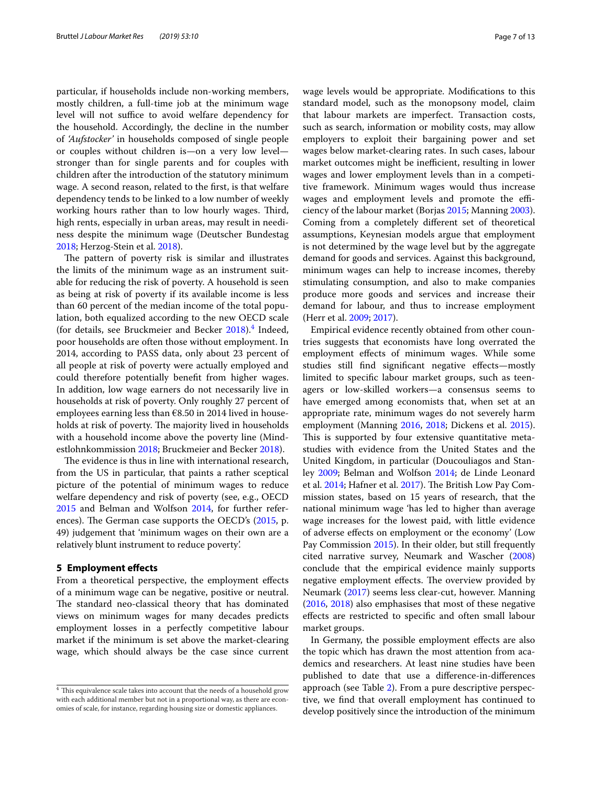particular, if households include non-working members, mostly children, a full-time job at the minimum wage level will not suffice to avoid welfare dependency for the household. Accordingly, the decline in the number of *'Aufstocker'* in households composed of single people or couples without children is—on a very low level stronger than for single parents and for couples with children after the introduction of the statutory minimum wage. A second reason, related to the frst, is that welfare dependency tends to be linked to a low number of weekly working hours rather than to low hourly wages. Third, high rents, especially in urban areas, may result in neediness despite the minimum wage (Deutscher Bundestag [2018](#page-11-14); Herzog-Stein et al. [2018\)](#page-12-20).

The pattern of poverty risk is similar and illustrates the limits of the minimum wage as an instrument suitable for reducing the risk of poverty. A household is seen as being at risk of poverty if its available income is less than 60 percent of the median income of the total population, both equalized according to the new OECD scale (for details, see Bruckmeier and Becker [2018](#page-11-11)).<sup>[4](#page-6-0)</sup> Indeed, poor households are often those without employment. In 2014, according to PASS data, only about 23 percent of all people at risk of poverty were actually employed and could therefore potentially beneft from higher wages. In addition, low wage earners do not necessarily live in households at risk of poverty. Only roughly 27 percent of employees earning less than  $68.50$  in 2014 lived in households at risk of poverty. The majority lived in households with a household income above the poverty line (Mindestlohnkommission [2018;](#page-12-6) Bruckmeier and Becker [2018](#page-11-11)).

The evidence is thus in line with international research, from the US in particular, that paints a rather sceptical picture of the potential of minimum wages to reduce welfare dependency and risk of poverty (see, e.g., OECD [2015](#page-12-21) and Belman and Wolfson [2014,](#page-11-0) for further references). The German case supports the OECD's  $(2015, p.$  $(2015, p.$ 49) judgement that 'minimum wages on their own are a relatively blunt instrument to reduce poverty'.

#### **5 Employment efects**

From a theoretical perspective, the employment efects of a minimum wage can be negative, positive or neutral. The standard neo-classical theory that has dominated views on minimum wages for many decades predicts employment losses in a perfectly competitive labour market if the minimum is set above the market-clearing wage, which should always be the case since current wage levels would be appropriate. Modifcations to this standard model, such as the monopsony model, claim that labour markets are imperfect. Transaction costs, such as search, information or mobility costs, may allow employers to exploit their bargaining power and set wages below market-clearing rates. In such cases, labour market outcomes might be inefficient, resulting in lower wages and lower employment levels than in a competitive framework. Minimum wages would thus increase wages and employment levels and promote the efficiency of the labour market (Borjas [2015;](#page-11-15) Manning [2003](#page-12-22)). Coming from a completely diferent set of theoretical assumptions, Keynesian models argue that employment is not determined by the wage level but by the aggregate demand for goods and services. Against this background, minimum wages can help to increase incomes, thereby stimulating consumption, and also to make companies produce more goods and services and increase their demand for labour, and thus to increase employment (Herr et al. [2009](#page-12-23); [2017](#page-12-24)).

Empirical evidence recently obtained from other countries suggests that economists have long overrated the employment efects of minimum wages. While some studies still fnd signifcant negative efects—mostly limited to specifc labour market groups, such as teenagers or low-skilled workers—a consensus seems to have emerged among economists that, when set at an appropriate rate, minimum wages do not severely harm employment (Manning [2016,](#page-12-25) [2018](#page-12-26); Dickens et al. [2015](#page-11-16)). This is supported by four extensive quantitative metastudies with evidence from the United States and the United Kingdom, in particular (Doucouliagos and Stanley [2009;](#page-12-27) Belman and Wolfson [2014;](#page-11-0) de Linde Leonard et al. [2014](#page-11-17); Hafner et al. [2017\)](#page-12-28). The British Low Pay Commission states, based on 15 years of research, that the national minimum wage 'has led to higher than average wage increases for the lowest paid, with little evidence of adverse efects on employment or the economy' (Low Pay Commission [2015\)](#page-12-4). In their older, but still frequently cited narrative survey, Neumark and Wascher ([2008](#page-12-0)) conclude that the empirical evidence mainly supports negative employment effects. The overview provided by Neumark [\(2017](#page-12-29)) seems less clear-cut, however. Manning ([2016,](#page-12-25) [2018](#page-12-26)) also emphasises that most of these negative efects are restricted to specifc and often small labour market groups.

In Germany, the possible employment efects are also the topic which has drawn the most attention from academics and researchers. At least nine studies have been published to date that use a diference-in-diferences approach (see Table [2](#page-8-0)). From a pure descriptive perspective, we fnd that overall employment has continued to develop positively since the introduction of the minimum

<span id="page-6-0"></span> $^4\,$  This equivalence scale takes into account that the needs of a household grow with each additional member but not in a proportional way, as there are economies of scale, for instance, regarding housing size or domestic appliances.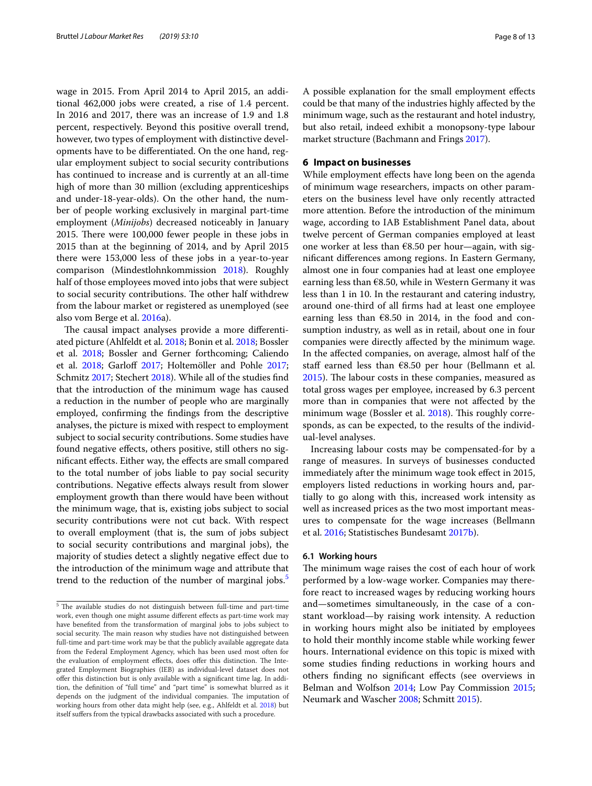wage in 2015. From April 2014 to April 2015, an additional 462,000 jobs were created, a rise of 1.4 percent. In 2016 and 2017, there was an increase of 1.9 and 1.8 percent, respectively. Beyond this positive overall trend, however, two types of employment with distinctive developments have to be diferentiated. On the one hand, regular employment subject to social security contributions has continued to increase and is currently at an all-time high of more than 30 million (excluding apprenticeships and under-18-year-olds). On the other hand, the number of people working exclusively in marginal part-time employment (*Minijobs*) decreased noticeably in January 2015. There were 100,000 fewer people in these jobs in 2015 than at the beginning of 2014, and by April 2015 there were 153,000 less of these jobs in a year-to-year comparison (Mindestlohnkommission [2018](#page-12-6)). Roughly half of those employees moved into jobs that were subject to social security contributions. The other half withdrew from the labour market or registered as unemployed (see also vom Berge et al. [2016](#page-12-30)a).

The causal impact analyses provide a more differentiated picture (Ahlfeldt et al. [2018](#page-11-7); Bonin et al. [2018;](#page-11-8) Bossler et al. [2018](#page-11-18); Bossler and Gerner forthcoming; Caliendo et al. [2018](#page-11-9); Garloff [2017;](#page-12-31) Holtemöller and Pohle [2017](#page-12-9); Schmitz [2017;](#page-12-32) Stechert [2018\)](#page-12-33). While all of the studies fnd that the introduction of the minimum wage has caused a reduction in the number of people who are marginally employed, confrming the fndings from the descriptive analyses, the picture is mixed with respect to employment subject to social security contributions. Some studies have found negative efects, others positive, still others no signifcant efects. Either way, the efects are small compared to the total number of jobs liable to pay social security contributions. Negative efects always result from slower employment growth than there would have been without the minimum wage, that is, existing jobs subject to social security contributions were not cut back. With respect to overall employment (that is, the sum of jobs subject to social security contributions and marginal jobs), the majority of studies detect a slightly negative efect due to the introduction of the minimum wage and attribute that trend to the reduction of the number of marginal jobs.<sup>5</sup> A possible explanation for the small employment efects could be that many of the industries highly afected by the minimum wage, such as the restaurant and hotel industry, but also retail, indeed exhibit a monopsony-type labour market structure (Bachmann and Frings [2017](#page-11-19)).

#### **6 Impact on businesses**

While employment efects have long been on the agenda of minimum wage researchers, impacts on other parameters on the business level have only recently attracted more attention. Before the introduction of the minimum wage, according to IAB Establishment Panel data, about twelve percent of German companies employed at least one worker at less than  $68.50$  per hour—again, with signifcant diferences among regions. In Eastern Germany, almost one in four companies had at least one employee earning less than  $68.50$ , while in Western Germany it was less than 1 in 10. In the restaurant and catering industry, around one-third of all frms had at least one employee earning less than  $68.50$  in 2014, in the food and consumption industry, as well as in retail, about one in four companies were directly afected by the minimum wage. In the afected companies, on average, almost half of the staff earned less than  $68.50$  per hour (Bellmann et al. [2015](#page-11-20)). The labour costs in these companies, measured as total gross wages per employee, increased by 6.3 percent more than in companies that were not afected by the minimum wage (Bossler et al. [2018](#page-11-18)). This roughly corresponds, as can be expected, to the results of the individual-level analyses.

Increasing labour costs may be compensated-for by a range of measures. In surveys of businesses conducted immediately after the minimum wage took efect in 2015, employers listed reductions in working hours and, partially to go along with this, increased work intensity as well as increased prices as the two most important measures to compensate for the wage increases (Bellmann et al. [2016](#page-11-21); Statistisches Bundesamt [2017b](#page-12-34)).

#### **6.1 Working hours**

The minimum wage raises the cost of each hour of work performed by a low-wage worker. Companies may therefore react to increased wages by reducing working hours and—sometimes simultaneously, in the case of a constant workload—by raising work intensity. A reduction in working hours might also be initiated by employees to hold their monthly income stable while working fewer hours. International evidence on this topic is mixed with some studies fnding reductions in working hours and others fnding no signifcant efects (see overviews in Belman and Wolfson [2014](#page-11-0); Low Pay Commission [2015](#page-12-4); Neumark and Wascher [2008;](#page-12-0) Schmitt [2015\)](#page-12-2).

<span id="page-7-0"></span> $\overline{5}$  The available studies do not distinguish between full-time and part-time work, even though one might assume diferent efects as part-time work may have benefted from the transformation of marginal jobs to jobs subject to social security. The main reason why studies have not distinguished between full-time and part-time work may be that the publicly available aggregate data from the Federal Employment Agency, which has been used most often for the evaluation of employment effects, does offer this distinction. The Integrated Employment Biographies (IEB) as individual-level dataset does not ofer this distinction but is only available with a signifcant time lag. In addition, the defnition of "full time" and "part time" is somewhat blurred as it depends on the judgment of the individual companies. The imputation of working hours from other data might help (see, e.g., Ahlfeldt et al. [2018\)](#page-11-7) but itself suffers from the typical drawbacks associated with such a procedure.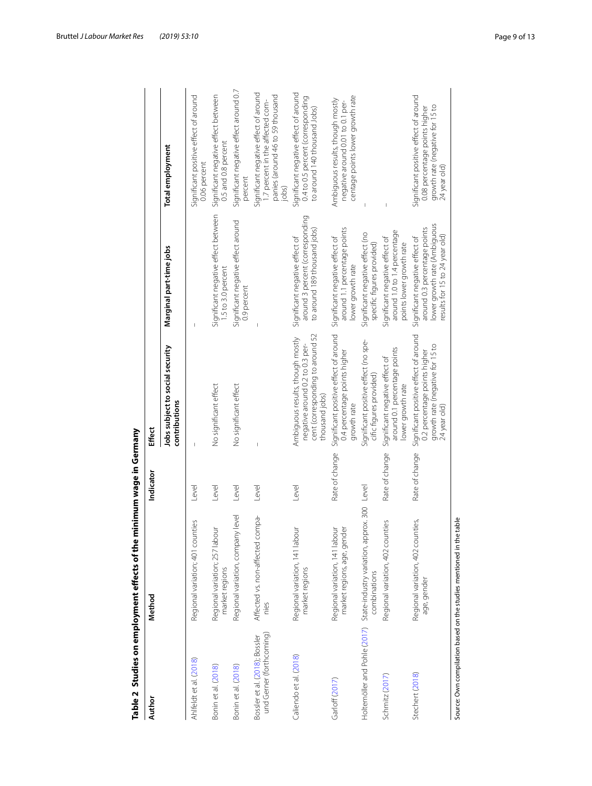| Author                                                     | Method                                                              | Indicator      | Effect                                                                                                                    |                                                                                                                                  |                                                                                                                           |
|------------------------------------------------------------|---------------------------------------------------------------------|----------------|---------------------------------------------------------------------------------------------------------------------------|----------------------------------------------------------------------------------------------------------------------------------|---------------------------------------------------------------------------------------------------------------------------|
|                                                            |                                                                     |                | Jobs subject to social security<br>contributions                                                                          | Marginal part-time jobs                                                                                                          | Total employment                                                                                                          |
| Ahlfeldt et al. (2018)                                     | Regional variation; 401 counties                                    | Level          |                                                                                                                           | Ī                                                                                                                                | Significant positive effect of around<br>0.06 percent                                                                     |
| Bonin et al. (2018)                                        | Regional variation; 257 labour<br>market regions                    | Level          | No significant effect                                                                                                     | Significant negative effect between<br>1.5 to 3.0 percent                                                                        | Significant negative effect between<br>0.5 and 0.8 percent                                                                |
| Bonin et al. (2018)                                        | level<br>Regional variation, company                                | Level          | No significant effect                                                                                                     | Significant negative effect around<br>0.9 percent                                                                                | Significant negative effect around 0.7<br>percent                                                                         |
| und Gerner (forthcoming)<br>Bossler et al. (2018); Bossler | Affected vs. non-affected compa-<br>nies                            | Level          |                                                                                                                           |                                                                                                                                  | Significant negative effect of around<br>panies (around 46 to 59 thousand<br>1.7 percent in the affected com-<br>jobs)    |
| Caliendo et al. (2018)                                     | Regional variation, 141 labour<br>market regions                    | Level          | cent (corresponding to around 52<br>Ambiquous results, though mostly<br>negative around 0.2 to 0.3 per-<br>thousand jobs) | around 3 percent (corresponding<br>to around 189 thousand jobs)<br>Significant negative effect of                                | Significant negative effect of around<br>0.4 to 0.5 percent (corresponding<br>to around 140 thousand Jobs)                |
| Garloff (2017)                                             | Regional variation, 141 labour<br>market regions, age, gender       | Rate of change | Significant positive effect of around<br>0.4 percentage points higher<br>growth rate                                      | around 1.1 percentage points<br>Significant negative effect of<br>lower growth rate                                              | centage points lower growth rate<br>Ambiguous results, though mostly<br>negative around 0.01 to 0.1 per-                  |
| Holtemöller and Pohle (2017)                               | State-industry variation, approx. 300 Level<br>combinations         |                | Significant positive effect (no spe-<br>cific figures provided)                                                           | Significant negative effect (no<br>specific figures provided)                                                                    |                                                                                                                           |
| Schmitz (2017)                                             | Regional variation, 402 counties                                    | Rate of change | around 0.1 percentage points<br>Significant negative effect of<br>lower growth rate                                       | around 1.0 to 1.4 percentage<br>Significant negative effect of<br>points lower growth rate                                       |                                                                                                                           |
| Stechert (2018)                                            | Regional variation, 402 counties,<br>age, gender                    | Rate of change | Significant positive effect of around<br>growth rate (negative for 15 to<br>0.2 percentage points higher<br>24 year old)  | lower growth rate (Ambiguous<br>around 0.3 percentage points<br>results for 15 to 24 year old)<br>Significant negative effect of | Significant positive effect of around<br>growth rate (negative for 15 to<br>0.08 percentage points higher<br>24 year old) |
|                                                            | Source: Own compilation based on the studies mentioned in the table |                |                                                                                                                           |                                                                                                                                  |                                                                                                                           |

<span id="page-8-0"></span>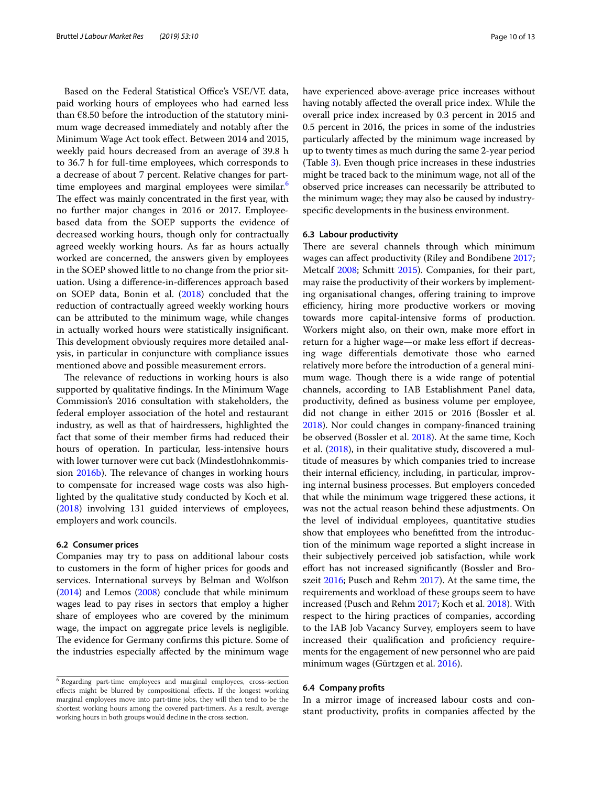Based on the Federal Statistical Office's VSE/VE data, paid working hours of employees who had earned less than  $E$ 8.50 before the introduction of the statutory minimum wage decreased immediately and notably after the Minimum Wage Act took efect. Between 2014 and 2015, weekly paid hours decreased from an average of 39.8 h to 36.7 h for full-time employees, which corresponds to a decrease of about 7 percent. Relative changes for parttime employees and marginal employees were similar.<sup>6</sup> The effect was mainly concentrated in the first year, with no further major changes in 2016 or 2017. Employeebased data from the SOEP supports the evidence of decreased working hours, though only for contractually agreed weekly working hours. As far as hours actually worked are concerned, the answers given by employees in the SOEP showed little to no change from the prior situation. Using a diference-in-diferences approach based on SOEP data, Bonin et al. ([2018](#page-11-8)) concluded that the reduction of contractually agreed weekly working hours can be attributed to the minimum wage, while changes in actually worked hours were statistically insignifcant. This development obviously requires more detailed analysis, in particular in conjuncture with compliance issues mentioned above and possible measurement errors.

The relevance of reductions in working hours is also supported by qualitative fndings. In the Minimum Wage Commission's 2016 consultation with stakeholders, the federal employer association of the hotel and restaurant industry, as well as that of hairdressers, highlighted the fact that some of their member frms had reduced their hours of operation. In particular, less-intensive hours with lower turnover were cut back (Mindestlohnkommis-sion [2016b\)](#page-12-35). The relevance of changes in working hours to compensate for increased wage costs was also highlighted by the qualitative study conducted by Koch et al. ([2018\)](#page-12-17) involving 131 guided interviews of employees, employers and work councils.

#### **6.2 Consumer prices**

Companies may try to pass on additional labour costs to customers in the form of higher prices for goods and services. International surveys by Belman and Wolfson ([2014](#page-11-0)) and Lemos ([2008](#page-12-36)) conclude that while minimum wages lead to pay rises in sectors that employ a higher share of employees who are covered by the minimum wage, the impact on aggregate price levels is negligible. The evidence for Germany confirms this picture. Some of the industries especially afected by the minimum wage have experienced above-average price increases without having notably afected the overall price index. While the overall price index increased by 0.3 percent in 2015 and 0.5 percent in 2016, the prices in some of the industries particularly afected by the minimum wage increased by up to twenty times as much during the same 2-year period (Table [3\)](#page-10-0). Even though price increases in these industries might be traced back to the minimum wage, not all of the observed price increases can necessarily be attributed to the minimum wage; they may also be caused by industryspecifc developments in the business environment.

#### **6.3 Labour productivity**

There are several channels through which minimum wages can afect productivity (Riley and Bondibene [2017](#page-12-37); Metcalf [2008](#page-12-1); Schmitt [2015](#page-12-2)). Companies, for their part, may raise the productivity of their workers by implementing organisational changes, offering training to improve efficiency, hiring more productive workers or moving towards more capital-intensive forms of production. Workers might also, on their own, make more efort in return for a higher wage—or make less effort if decreasing wage diferentials demotivate those who earned relatively more before the introduction of a general minimum wage. Though there is a wide range of potential channels, according to IAB Establishment Panel data, productivity, defned as business volume per employee, did not change in either 2015 or 2016 (Bossler et al. [2018](#page-11-18)). Nor could changes in company-fnanced training be observed (Bossler et al. [2018\)](#page-11-18). At the same time, Koch et al. ([2018](#page-12-17)), in their qualitative study, discovered a multitude of measures by which companies tried to increase their internal efficiency, including, in particular, improving internal business processes. But employers conceded that while the minimum wage triggered these actions, it was not the actual reason behind these adjustments. On the level of individual employees, quantitative studies show that employees who beneftted from the introduction of the minimum wage reported a slight increase in their subjectively perceived job satisfaction, while work efort has not increased signifcantly (Bossler and Bro-szeit [2016;](#page-11-22) Pusch and Rehm [2017](#page-12-10)). At the same time, the requirements and workload of these groups seem to have increased (Pusch and Rehm [2017](#page-12-10); Koch et al. [2018](#page-12-17)). With respect to the hiring practices of companies, according to the IAB Job Vacancy Survey, employers seem to have increased their qualification and proficiency requirements for the engagement of new personnel who are paid minimum wages (Gürtzgen et al. [2016](#page-12-38)).

#### **6.4 Company profts**

In a mirror image of increased labour costs and constant productivity, profts in companies afected by the

<span id="page-9-0"></span><sup>6</sup> Regarding part-time employees and marginal employees, cross-section effects might be blurred by compositional effects. If the longest working marginal employees move into part-time jobs, they will then tend to be the shortest working hours among the covered part-timers. As a result, average working hours in both groups would decline in the cross section.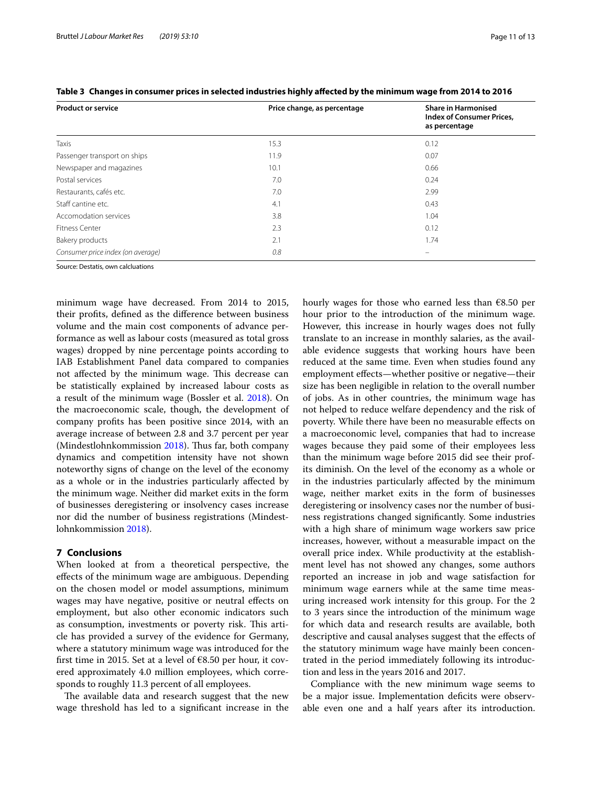| <b>Product or service</b>         | Price change, as percentage | <b>Share in Harmonised</b><br>Index of Consumer Prices,<br>as percentage |
|-----------------------------------|-----------------------------|--------------------------------------------------------------------------|
| Taxis                             | 15.3                        | 0.12                                                                     |
| Passenger transport on ships      | 11.9                        | 0.07                                                                     |
| Newspaper and magazines           | 10.1                        | 0.66                                                                     |
| Postal services                   | 7.0                         | 0.24                                                                     |
| Restaurants, cafés etc.           | 7.0                         | 2.99                                                                     |
| Staff cantine etc.                | 4.1                         | 0.43                                                                     |
| Accomodation services             | 3.8                         | 1.04                                                                     |
| Fitness Center                    | 2.3                         | 0.12                                                                     |
| Bakery products                   | 2.1                         | 1.74                                                                     |
| Consumer price index (on average) | 0.8                         | -                                                                        |

<span id="page-10-0"></span>

|  |  |  | Table 3 Changes in consumer prices in selected industries highly affected by the minimum wage from 2014 to 2016 |  |  |  |
|--|--|--|-----------------------------------------------------------------------------------------------------------------|--|--|--|
|--|--|--|-----------------------------------------------------------------------------------------------------------------|--|--|--|

Source: Destatis, own calcluations

minimum wage have decreased. From 2014 to 2015, their profts, defned as the diference between business volume and the main cost components of advance performance as well as labour costs (measured as total gross wages) dropped by nine percentage points according to IAB Establishment Panel data compared to companies not affected by the minimum wage. This decrease can be statistically explained by increased labour costs as a result of the minimum wage (Bossler et al. [2018](#page-11-18)). On the macroeconomic scale, though, the development of company profts has been positive since 2014, with an average increase of between 2.8 and 3.7 percent per year (Mindestlohnkommission  $2018$ ). Thus far, both company dynamics and competition intensity have not shown noteworthy signs of change on the level of the economy as a whole or in the industries particularly afected by the minimum wage. Neither did market exits in the form of businesses deregistering or insolvency cases increase nor did the number of business registrations (Mindestlohnkommission [2018](#page-12-6)).

#### **7 Conclusions**

When looked at from a theoretical perspective, the efects of the minimum wage are ambiguous. Depending on the chosen model or model assumptions, minimum wages may have negative, positive or neutral efects on employment, but also other economic indicators such as consumption, investments or poverty risk. This article has provided a survey of the evidence for Germany, where a statutory minimum wage was introduced for the frst time in 2015. Set at a level of €8.50 per hour, it covered approximately 4.0 million employees, which corresponds to roughly 11.3 percent of all employees.

The available data and research suggest that the new wage threshold has led to a signifcant increase in the hourly wages for those who earned less than €8.50 per hour prior to the introduction of the minimum wage. However, this increase in hourly wages does not fully translate to an increase in monthly salaries, as the available evidence suggests that working hours have been reduced at the same time. Even when studies found any employment efects—whether positive or negative—their size has been negligible in relation to the overall number of jobs. As in other countries, the minimum wage has not helped to reduce welfare dependency and the risk of poverty. While there have been no measurable efects on a macroeconomic level, companies that had to increase wages because they paid some of their employees less than the minimum wage before 2015 did see their profits diminish. On the level of the economy as a whole or in the industries particularly afected by the minimum wage, neither market exits in the form of businesses deregistering or insolvency cases nor the number of business registrations changed signifcantly. Some industries with a high share of minimum wage workers saw price increases, however, without a measurable impact on the overall price index. While productivity at the establishment level has not showed any changes, some authors reported an increase in job and wage satisfaction for minimum wage earners while at the same time measuring increased work intensity for this group. For the 2 to 3 years since the introduction of the minimum wage for which data and research results are available, both descriptive and causal analyses suggest that the efects of the statutory minimum wage have mainly been concentrated in the period immediately following its introduction and less in the years 2016 and 2017.

Compliance with the new minimum wage seems to be a major issue. Implementation deficits were observable even one and a half years after its introduction.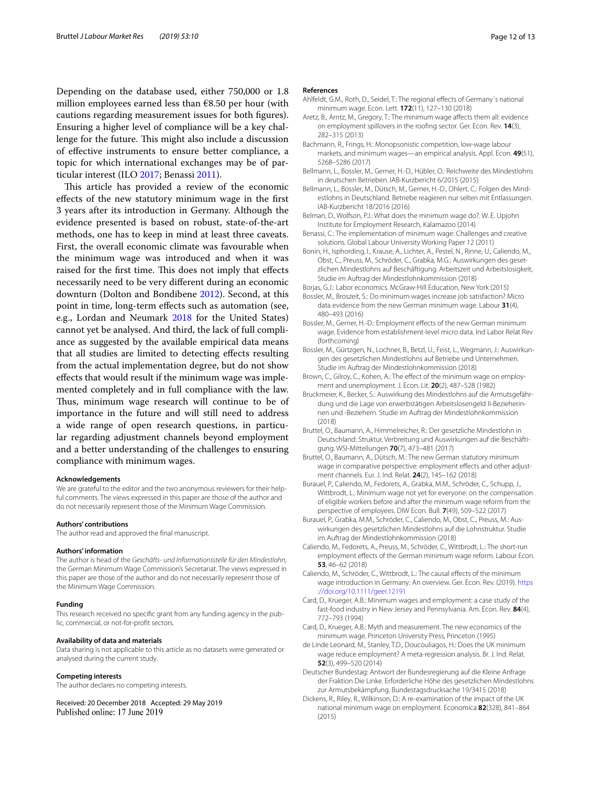Depending on the database used, either 750,000 or 1.8 million employees earned less than  $€8.50$  per hour (with cautions regarding measurement issues for both fgures). Ensuring a higher level of compliance will be a key challenge for the future. This might also include a discussion of efective instruments to ensure better compliance, a topic for which international exchanges may be of particular interest (ILO [2017](#page-12-39); Benassi [2011\)](#page-11-23).

This article has provided a review of the economic efects of the new statutory minimum wage in the frst 3 years after its introduction in Germany. Although the evidence presented is based on robust, state-of-the-art methods, one has to keep in mind at least three caveats. First, the overall economic climate was favourable when the minimum wage was introduced and when it was raised for the first time. This does not imply that effects necessarily need to be very diferent during an economic downturn (Dolton and Bondibene [2012\)](#page-12-40). Second, at this point in time, long-term efects such as automation (see, e.g., Lordan and Neumark [2018](#page-12-41) for the United States) cannot yet be analysed. And third, the lack of full compliance as suggested by the available empirical data means that all studies are limited to detecting efects resulting from the actual implementation degree, but do not show efects that would result if the minimum wage was implemented completely and in full compliance with the law. Thus, minimum wage research will continue to be of importance in the future and will still need to address a wide range of open research questions, in particular regarding adjustment channels beyond employment and a better understanding of the challenges to ensuring compliance with minimum wages.

#### **Acknowledgements**

We are grateful to the editor and the two anonymous reviewers for their helpful comments. The views expressed in this paper are those of the author and do not necessarily represent those of the Minimum Wage Commission.

#### **Authors' contributions**

The author read and approved the fnal manuscript.

#### **Authors' information**

The author is head of the *Geschäfts*- *und Informationsstelle für den Mindestlohn,* the German Minimum Wage Commission's Secretariat. The views expressed in this paper are those of the author and do not necessarily represent those of the Minimum Wage Commission.

#### **Funding**

This research received no specifc grant from any funding agency in the public, commercial, or not-for-proft sectors.

#### **Availability of data and materials**

Data sharing is not applicable to this article as no datasets were generated or analysed during the current study.

#### **Competing interests**

The author declares no competing interests.

Received: 20 December 2018 Accepted: 29 May 2019 Published online: 17 June 2019

#### **References**

- <span id="page-11-7"></span>Ahlfeldt, G.M., Roth, D., Seidel, T.: The regional effects of Germany's national minimum wage. Econ. Lett. **172**(11), 127–130 (2018)
- <span id="page-11-6"></span>Aretz, B., Arntz, M., Gregory, T.: The minimum wage afects them all: evidence on employment spillovers in the roofng sector. Ger. Econ. Rev. **14**(3), 282–315 (2013)
- <span id="page-11-19"></span>Bachmann, R., Frings, H.: Monopsonistic competition, low-wage labour markets, and minimum wages—an empirical analysis. Appl. Econ. **49**(51), 5268–5286 (2017)
- <span id="page-11-20"></span>Bellmann, L., Bossler, M., Gerner, H.-D., Hübler, O.: Reichweite des Mindestlohns in deutschen Betrieben. IAB-Kurzbericht 6/2015 (2015)
- <span id="page-11-21"></span>Bellmann, L., Bossler, M., Dütsch, M., Gerner, H.-D., Ohlert, C.: Folgen des Mindestlohns in Deutschland. Betriebe reagieren nur selten mit Entlassungen. IAB-Kurzbericht 18/2016 (2016)
- <span id="page-11-0"></span>Belman, D., Wolfson, P.J.: What does the minimum wage do?. W. E. Upjohn Institute for Employment Research, Kalamazoo (2014)
- <span id="page-11-23"></span>Benassi, C.: The implementation of minimum wage: Challenges and creative solutions. Global Labour University Working Paper 12 (2011)
- <span id="page-11-8"></span>Bonin, H., Isphording, I., Krause, A., Lichter, A., Pestel, N., Rinne, U., Caliendo, M., Obst, C., Preuss, M., Schröder, C., Grabka, M.G.: Auswirkungen des gesetzlichen Mindestlohns auf Beschäftigung. Arbeitszeit und Arbeitslosigkeit, Studie im Auftrag der Mindestlohnkommission (2018)
- <span id="page-11-22"></span><span id="page-11-15"></span>Borjas, G.J.: Labor economics. McGraw-Hill Education, New York (2015) Bossler, M., Broszeit, S.: Do minimum wages increase job satisfaction? Micro
- data evidence from the new German minimum wage. Labour **31**(4), 480–493 (2016)
- Bossler, M., Gerner, H.-D.: Employment effects of the new German minimum wage. Evidence from establishment-level micro data. Ind Labor Relat Rev (forthcoming)
- <span id="page-11-18"></span>Bossler, M., Gürtzgen, N., Lochner, B., Betzl, U., Feist, L., Wegmann, J.: Auswirkungen des gesetzlichen Mindestlohns auf Betriebe und Unternehmen. Studie im Auftrag der Mindestlohnkommission (2018)
- <span id="page-11-2"></span>Brown, C., Gilroy, C., Kohen, A.: The effect of the minimum wage on employment and unemployment. J. Econ. Lit. **20**(2), 487–528 (1982)
- <span id="page-11-11"></span>Bruckmeier, K., Becker, S.: Auswirkung des Mindestlohns auf die Armutsgefährdung und die Lage von erwerbstätigen Arbeitslosengeld II-Bezieherinnen und -Beziehern. Studie im Auftrag der Mindestlohnkommission (2018)
- <span id="page-11-12"></span>Bruttel, O., Baumann, A., Himmelreicher, R.: Der gesetzliche Mindestlohn in Deutschland: Struktur, Verbreitung und Auswirkungen auf die Beschäftigung. WSI-Mitteilungen **70**(7), 473–481 (2017)
- <span id="page-11-5"></span>Bruttel, O., Baumann, A., Dütsch, M.: The new German statutory minimum wage in comparative perspective: employment effects and other adjustment channels. Eur. J. Ind. Relat. **24**(2), 145–162 (2018)
- <span id="page-11-13"></span>Burauel, P., Caliendo, M., Fedorets, A., Grabka, M.M., Schröder, C., Schupp, J., Wittbrodt, L.: Minimum wage not yet for everyone: on the compensation of eligible workers before and after the minimum wage reform from the perspective of employees. DIW Econ. Bull. **7**(49), 509–522 (2017)
- <span id="page-11-10"></span>Burauel, P., Grabka, M.M., Schröder, C., Caliendo, M., Obst, C., Preuss, M.: Auswirkungen des gesetzlichen Mindestlohns auf die Lohnstruktur. Studie im Auftrag der Mindestlohnkommission (2018)
- <span id="page-11-9"></span>Caliendo, M., Fedorets, A., Preuss, M., Schröder, C., Wittbrodt, L.: The short-run employment effects of the German minimum wage reform. Labour Econ. **53**, 46–62 (2018)
- <span id="page-11-4"></span>Caliendo, M., Schröder, C., Wittbrodt, L.: The causal effects of the minimum wage introduction in Germany: An overview. Ger. Econ. Rev. (2019). [https](https://doi.org/10.1111/geer.12191) [://doi.org/10.1111/geer.12191](https://doi.org/10.1111/geer.12191)
- <span id="page-11-1"></span>Card, D., Krueger, A.B.: Minimum wages and employment: a case study of the fast-food industry in New Jersey and Pennsylvania. Am. Econ. Rev. **84**(4), 772–793 (1994)
- <span id="page-11-3"></span>Card, D., Krueger, A.B.: Myth and measurement. The new economics of the minimum wage. Princeton University Press, Princeton (1995)
- <span id="page-11-17"></span>de Linde Leonard, M., Stanley, T.D., Doucouliagos, H.: Does the UK minimum wage reduce employment? A meta-regression analysis. Br. J. Ind. Relat. **52**(3), 499–520 (2014)
- <span id="page-11-14"></span>Deutscher Bundestag: Antwort der Bundesregierung auf die Kleine Anfrage der Fraktion Die Linke. Erforderliche Höhe des gesetzlichen Mindestlohns zur Armutsbekämpfung. Bundestagsdrucksache 19/3415 (2018)
- <span id="page-11-16"></span>Dickens, R., Riley, R., Wilkinson, D.: A re-examination of the impact of the UK national minimum wage on employment. Economica **82**(328), 841–864 (2015)